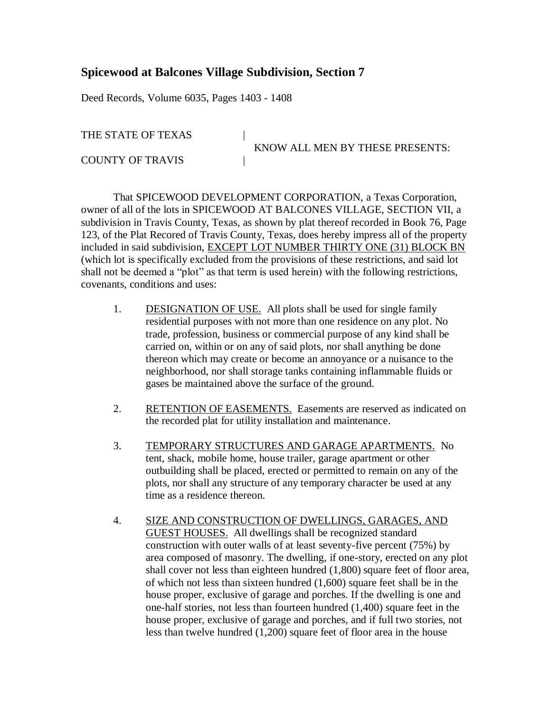## **Spicewood at Balcones Village Subdivision, Section 7**

Deed Records, Volume 6035, Pages 1403 - 1408

THE STATE OF TEXAS |

COUNTY OF TRAVIS |

KNOW ALL MEN BY THESE PRESENTS:

That SPICEWOOD DEVELOPMENT CORPORATION, a Texas Corporation, owner of all of the lots in SPICEWOOD AT BALCONES VILLAGE, SECTION VII, a subdivision in Travis County, Texas, as shown by plat thereof recorded in Book 76, Page 123, of the Plat Recored of Travis County, Texas, does hereby impress all of the property included in said subdivision, EXCEPT LOT NUMBER THIRTY ONE (31) BLOCK BN (which lot is specifically excluded from the provisions of these restrictions, and said lot shall not be deemed a "plot" as that term is used herein) with the following restrictions, covenants, conditions and uses:

- 1. DESIGNATION OF USE. All plots shall be used for single family residential purposes with not more than one residence on any plot. No trade, profession, business or commercial purpose of any kind shall be carried on, within or on any of said plots, nor shall anything be done thereon which may create or become an annoyance or a nuisance to the neighborhood, nor shall storage tanks containing inflammable fluids or gases be maintained above the surface of the ground.
- 2. RETENTION OF EASEMENTS. Easements are reserved as indicated on the recorded plat for utility installation and maintenance.
- 3. TEMPORARY STRUCTURES AND GARAGE APARTMENTS. No tent, shack, mobile home, house trailer, garage apartment or other outbuilding shall be placed, erected or permitted to remain on any of the plots, nor shall any structure of any temporary character be used at any time as a residence thereon.
- 4. SIZE AND CONSTRUCTION OF DWELLINGS, GARAGES, AND GUEST HOUSES. All dwellings shall be recognized standard construction with outer walls of at least seventy-five percent (75%) by area composed of masonry. The dwelling, if one-story, erected on any plot shall cover not less than eighteen hundred (1,800) square feet of floor area, of which not less than sixteen hundred (1,600) square feet shall be in the house proper, exclusive of garage and porches. If the dwelling is one and one-half stories, not less than fourteen hundred (1,400) square feet in the house proper, exclusive of garage and porches, and if full two stories, not less than twelve hundred (1,200) square feet of floor area in the house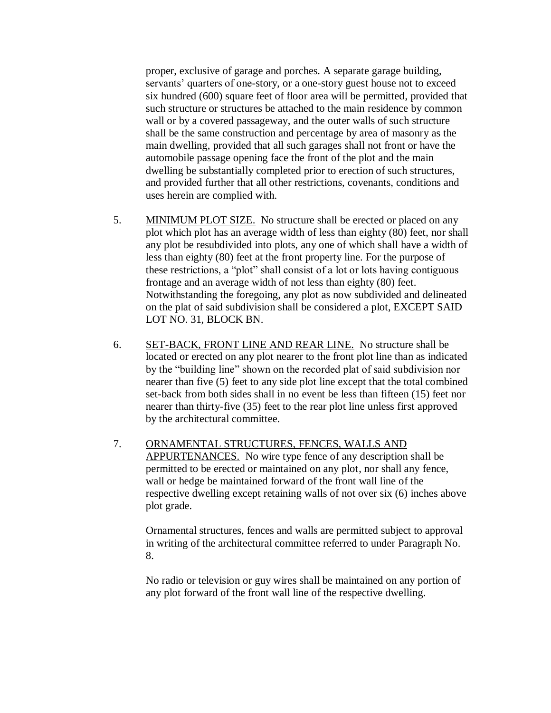proper, exclusive of garage and porches. A separate garage building, servants' quarters of one-story, or a one-story guest house not to exceed six hundred (600) square feet of floor area will be permitted, provided that such structure or structures be attached to the main residence by common wall or by a covered passageway, and the outer walls of such structure shall be the same construction and percentage by area of masonry as the main dwelling, provided that all such garages shall not front or have the automobile passage opening face the front of the plot and the main dwelling be substantially completed prior to erection of such structures, and provided further that all other restrictions, covenants, conditions and uses herein are complied with.

- 5. MINIMUM PLOT SIZE. No structure shall be erected or placed on any plot which plot has an average width of less than eighty (80) feet, nor shall any plot be resubdivided into plots, any one of which shall have a width of less than eighty (80) feet at the front property line. For the purpose of these restrictions, a "plot" shall consist of a lot or lots having contiguous frontage and an average width of not less than eighty (80) feet. Notwithstanding the foregoing, any plot as now subdivided and delineated on the plat of said subdivision shall be considered a plot, EXCEPT SAID LOT NO. 31, BLOCK BN.
- 6. SET-BACK, FRONT LINE AND REAR LINE. No structure shall be located or erected on any plot nearer to the front plot line than as indicated by the "building line" shown on the recorded plat of said subdivision nor nearer than five (5) feet to any side plot line except that the total combined set-back from both sides shall in no event be less than fifteen (15) feet nor nearer than thirty-five (35) feet to the rear plot line unless first approved by the architectural committee.
- 7. ORNAMENTAL STRUCTURES, FENCES, WALLS AND APPURTENANCES. No wire type fence of any description shall be permitted to be erected or maintained on any plot, nor shall any fence, wall or hedge be maintained forward of the front wall line of the respective dwelling except retaining walls of not over six (6) inches above plot grade.

Ornamental structures, fences and walls are permitted subject to approval in writing of the architectural committee referred to under Paragraph No. 8.

No radio or television or guy wires shall be maintained on any portion of any plot forward of the front wall line of the respective dwelling.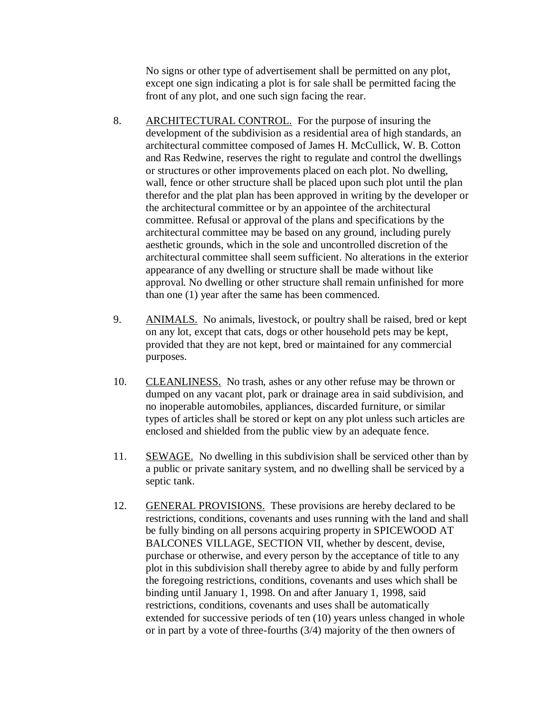No signs or other type of advertisement shall be permitted on any plot, except one sign indicating a plot is for sale shall be permitted facing the front of any plot, and one such sign facing the rear.

- 8. ARCHITECTURAL CONTROL. For the purpose of insuring the development of the subdivision as a residential area of high standards, an architectural committee composed of James H. McCullick, W. B. Cotton and Ras Redwine, reserves the right to regulate and control the dwellings or structures or other improvements placed on each plot. No dwelling, wall, fence or other structure shall be placed upon such plot until the plan therefor and the plat plan has been approved in writing by the developer or the architectural committee or by an appointee of the architectural committee. Refusal or approval of the plans and specifications by the architectural committee may be based on any ground, including purely aesthetic grounds, which in the sole and uncontrolled discretion of the architectural committee shall seem sufficient. No alterations in the exterior appearance of any dwelling or structure shall be made without like approval. No dwelling or other structure shall remain unfinished for more than one (1) year after the same has been commenced.
- 9. ANIMALS. No animals, livestock, or poultry shall be raised, bred or kept on any lot, except that cats, dogs or other household pets may be kept, provided that they are not kept, bred or maintained for any commercial purposes.
- 10. CLEANLINESS. No trash, ashes or any other refuse may be thrown or dumped on any vacant plot, park or drainage area in said subdivision, and no inoperable automobiles, appliances, discarded furniture, or similar types of articles shall be stored or kept on any plot unless such articles are enclosed and shielded from the public view by an adequate fence.
- 11. SEWAGE. No dwelling in this subdivision shall be serviced other than by a public or private sanitary system, and no dwelling shall be serviced by a septic tank.
- 12. GENERAL PROVISIONS. These provisions are hereby declared to be restrictions, conditions, covenants and uses running with the land and shall be fully binding on all persons acquiring property in SPICEWOOD AT BALCONES VILLAGE, SECTION VII, whether by descent, devise, purchase or otherwise, and every person by the acceptance of title to any plot in this subdivision shall thereby agree to abide by and fully perform the foregoing restrictions, conditions, covenants and uses which shall be binding until January 1, 1998. On and after January 1, 1998, said restrictions, conditions, covenants and uses shall be automatically extended for successive periods of ten (10) years unless changed in whole or in part by a vote of three-fourths (3/4) majority of the then owners of